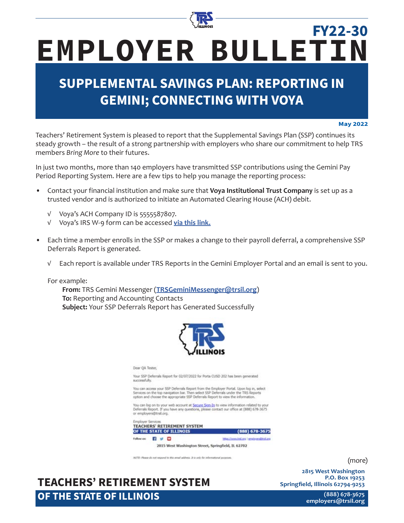

# **EMPLOYER BULLETIN FY22-30**

## **SUPPLEMENTAL SAVINGS PLAN: REPORTING IN GEMINI; CONNECTING WITH VOYA**

#### **May 2022**

Teachers' Retirement System is pleased to report that the Supplemental Savings Plan (SSP) continues its steady growth – the result of a strong partnership with employers who share our commitment to help TRS members *Bring More* to their futures.

In just two months, more than 140 employers have transmitted SSP contributions using the Gemini Pay Period Reporting System. Here are a few tips to help you manage the reporting process:

- Contact your financial institution and make sure that **Voya Institutional Trust Company** is set up as a trusted vendor and is authorized to initiate an Automated Clearing House (ACH) debit.
	- √ Voya's ACH Company ID is 5555587807.
	- √ Voya's IRS W-9 form can be accessed **[via this link.](https://www.trsil.org/Voya_W-9)**
- Each time a member enrolls in the SSP or makes a change to their payroll deferral, a comprehensive SSP Deferrals Report is generated.
	- √ Each report is available under TRS Reports in the Gemini Employer Portal and an email is sent to you.

For example:

**From:** TRS Gemini Messenger (**TRSGeminiMessenger@trsil.org**) **To:** Reporting and Accounting Contacts **Subject:** Your SSP Deferrals Report has Generated Successfully



Dear QA Tester,

Your SSP Deferrals Report for 02/07/2022 for Porta CUSD 202 has been generated successfully.

You can access your SSP Deferrals Report from the Employer Portal. Upon log in, select<br>Services on the top navigation bar. Then select SSP Deferrals under the TRS Reports<br>option and choose the appropriate SSP Deferrals Rep

You can log on to your web account at Secure Sign-In to view information related to your<br>Deferrals Report. If you have any questions, please contact our office at (888) 678-3675<br>or employers@trisil.org.



WOTE: Risson da not respond to this ernal address. It is only for informational purps

**TEACHERS' RETIREMENT SYSTEM OF THE STATE OF ILLINOIS**

(more)

**2815 West Washington P.O. Box 19253 Springfield, Illinois 62794-9253**

> **(888) 678-3675 [employers@trsi](mailto:employers%40trs.illinois.gov?subject=)l.org**